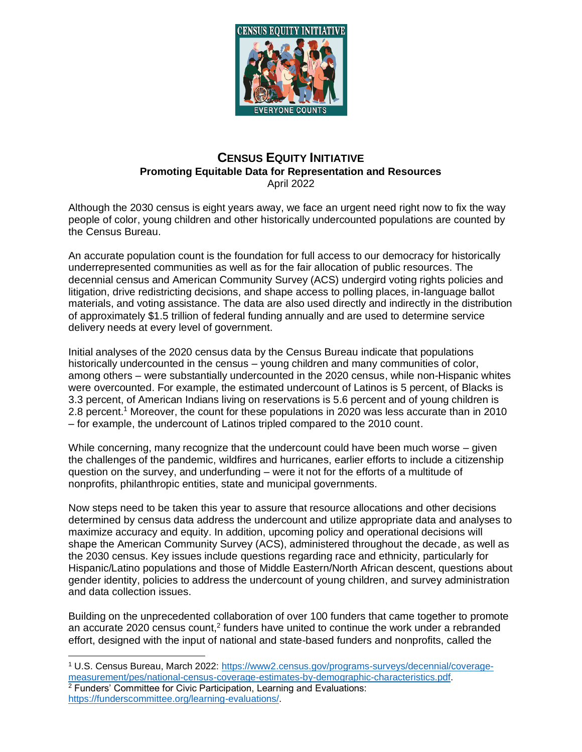

## **CENSUS EQUITY INITIATIVE Promoting Equitable Data for Representation and Resources** April 2022

Although the 2030 census is eight years away, we face an urgent need right now to fix the way people of color, young children and other historically undercounted populations are counted by the Census Bureau.

An accurate population count is the foundation for full access to our democracy for historically underrepresented communities as well as for the fair allocation of public resources. The decennial census and American Community Survey (ACS) undergird voting rights policies and litigation, drive redistricting decisions, and shape access to polling places, in-language ballot materials, and voting assistance. The data are also used directly and indirectly in the distribution of approximately \$1.5 trillion of federal funding annually and are used to determine service delivery needs at every level of government.

Initial analyses of the 2020 census data by the Census Bureau indicate that populations historically undercounted in the census – young children and many communities of color, among others – were substantially undercounted in the 2020 census, while non-Hispanic whites were overcounted. For example, the estimated undercount of Latinos is 5 percent, of Blacks is 3.3 percent, of American Indians living on reservations is 5.6 percent and of young children is 2.8 percent.<sup>1</sup> Moreover, the count for these populations in 2020 was less accurate than in 2010 – for example, the undercount of Latinos tripled compared to the 2010 count.

While concerning, many recognize that the undercount could have been much worse – given the challenges of the pandemic, wildfires and hurricanes, earlier efforts to include a citizenship question on the survey, and underfunding – were it not for the efforts of a multitude of nonprofits, philanthropic entities, state and municipal governments.

Now steps need to be taken this year to assure that resource allocations and other decisions determined by census data address the undercount and utilize appropriate data and analyses to maximize accuracy and equity. In addition, upcoming policy and operational decisions will shape the American Community Survey (ACS), administered throughout the decade, as well as the 2030 census. Key issues include questions regarding race and ethnicity, particularly for Hispanic/Latino populations and those of Middle Eastern/North African descent, questions about gender identity, policies to address the undercount of young children, and survey administration and data collection issues.

Building on the unprecedented collaboration of over 100 funders that came together to promote an accurate 2020 census count,<sup>2</sup> funders have united to continue the work under a rebranded effort, designed with the input of national and state-based funders and nonprofits, called the

<sup>1</sup> U.S. Census Bureau, March 2022: [https://www2.census.gov/programs-surveys/decennial/coverage](https://www2.census.gov/programs-surveys/decennial/coverage-measurement/pes/national-census-coverage-estimates-by-demographic-characteristics.pdf)[measurement/pes/national-census-coverage-estimates-by-demographic-characteristics.pdf.](https://www2.census.gov/programs-surveys/decennial/coverage-measurement/pes/national-census-coverage-estimates-by-demographic-characteristics.pdf)  <sup>2</sup> Funders' Committee for Civic Participation, Learning and Evaluations: [https://funderscommittee.org/learning-evaluations/.](https://funderscommittee.org/learning-evaluations/)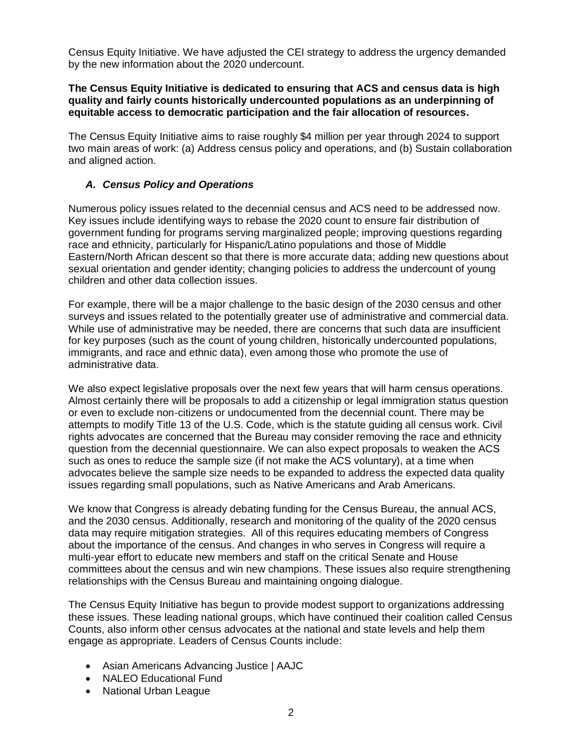Census Equity Initiative. We have adjusted the CEI strategy to address the urgency demanded by the new information about the 2020 undercount.

## **The Census Equity Initiative is dedicated to ensuring that ACS and census data is high quality and fairly counts historically undercounted populations as an underpinning of equitable access to democratic participation and the fair allocation of resources.**

The Census Equity Initiative aims to raise roughly \$4 million per year through 2024 to support two main areas of work: (a) Address census policy and operations, and (b) Sustain collaboration and aligned action.

# *A. Census Policy and Operations*

Numerous policy issues related to the decennial census and ACS need to be addressed now. Key issues include identifying ways to rebase the 2020 count to ensure fair distribution of government funding for programs serving marginalized people; improving questions regarding race and ethnicity, particularly for Hispanic/Latino populations and those of Middle Eastern/North African descent so that there is more accurate data; adding new questions about sexual orientation and gender identity; changing policies to address the undercount of young children and other data collection issues.

For example, there will be a major challenge to the basic design of the 2030 census and other surveys and issues related to the potentially greater use of administrative and commercial data. While use of administrative may be needed, there are concerns that such data are insufficient for key purposes (such as the count of young children, historically undercounted populations, immigrants, and race and ethnic data), even among those who promote the use of administrative data.

We also expect legislative proposals over the next few years that will harm census operations. Almost certainly there will be proposals to add a citizenship or legal immigration status question or even to exclude non-citizens or undocumented from the decennial count. There may be attempts to modify Title 13 of the U.S. Code, which is the statute guiding all census work. Civil rights advocates are concerned that the Bureau may consider removing the race and ethnicity question from the decennial questionnaire. We can also expect proposals to weaken the ACS such as ones to reduce the sample size (if not make the ACS voluntary), at a time when advocates believe the sample size needs to be expanded to address the expected data quality issues regarding small populations, such as Native Americans and Arab Americans.

We know that Congress is already debating funding for the Census Bureau, the annual ACS, and the 2030 census. Additionally, research and monitoring of the quality of the 2020 census data may require mitigation strategies. All of this requires educating members of Congress about the importance of the census. And changes in who serves in Congress will require a multi-year effort to educate new members and staff on the critical Senate and House committees about the census and win new champions. These issues also require strengthening relationships with the Census Bureau and maintaining ongoing dialogue.

The Census Equity Initiative has begun to provide modest support to organizations addressing these issues. These leading national groups, which have continued their coalition called Census Counts, also inform other census advocates at the national and state levels and help them engage as appropriate. Leaders of Census Counts include:

- Asian Americans Advancing Justice | AAJC
- NALEO Educational Fund
- National Urban League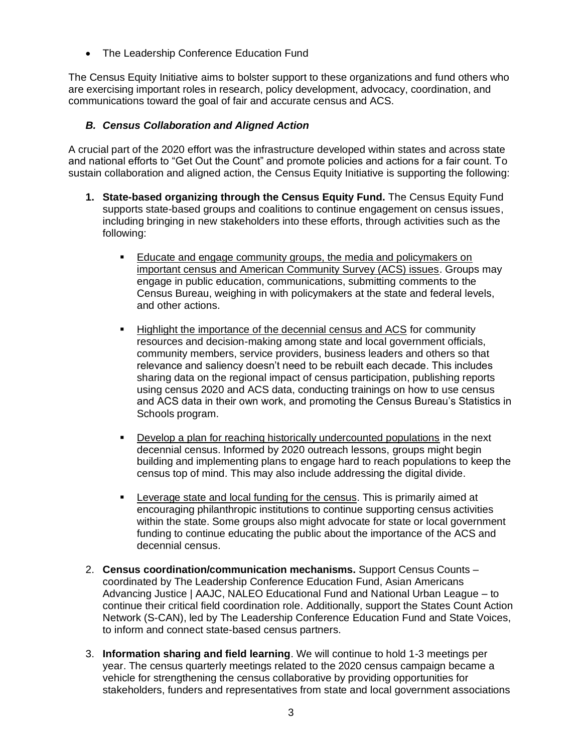• The Leadership Conference Education Fund

The Census Equity Initiative aims to bolster support to these organizations and fund others who are exercising important roles in research, policy development, advocacy, coordination, and communications toward the goal of fair and accurate census and ACS.

# *B. Census Collaboration and Aligned Action*

A crucial part of the 2020 effort was the infrastructure developed within states and across state and national efforts to "Get Out the Count" and promote policies and actions for a fair count. To sustain collaboration and aligned action, the Census Equity Initiative is supporting the following:

- **1. State-based organizing through the Census Equity Fund.** The Census Equity Fund supports state-based groups and coalitions to continue engagement on census issues, including bringing in new stakeholders into these efforts, through activities such as the following:
	- **Educate and engage community groups, the media and policymakers on** important census and American Community Survey (ACS) issues. Groups may engage in public education, communications, submitting comments to the Census Bureau, weighing in with policymakers at the state and federal levels, and other actions.
	- Highlight the importance of the decennial census and ACS for community resources and decision-making among state and local government officials, community members, service providers, business leaders and others so that relevance and saliency doesn't need to be rebuilt each decade. This includes sharing data on the regional impact of census participation, publishing reports using census 2020 and ACS data, conducting trainings on how to use census and ACS data in their own work, and promoting the Census Bureau's Statistics in Schools program.
	- **•** Develop a plan for reaching historically undercounted populations in the next decennial census. Informed by 2020 outreach lessons, groups might begin building and implementing plans to engage hard to reach populations to keep the census top of mind. This may also include addressing the digital divide.
	- **EXE** Leverage state and local funding for the census. This is primarily aimed at encouraging philanthropic institutions to continue supporting census activities within the state. Some groups also might advocate for state or local government funding to continue educating the public about the importance of the ACS and decennial census.
- 2. **Census coordination/communication mechanisms.** Support Census Counts coordinated by The Leadership Conference Education Fund, Asian Americans Advancing Justice | AAJC, NALEO Educational Fund and National Urban League – to continue their critical field coordination role. Additionally, support the States Count Action Network (S-CAN), led by The Leadership Conference Education Fund and State Voices, to inform and connect state-based census partners.
- 3. **Information sharing and field learning**. We will continue to hold 1-3 meetings per year. The census quarterly meetings related to the 2020 census campaign became a vehicle for strengthening the census collaborative by providing opportunities for stakeholders, funders and representatives from state and local government associations